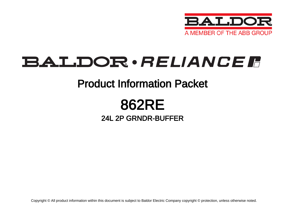

## **BALDOR** · RELIANCE F

## Product Information Packet

# 862RE

### 24L 2P GRNDR-BUFFER

Copyright © All product information within this document is subject to Baldor Electric Company copyright © protection, unless otherwise noted.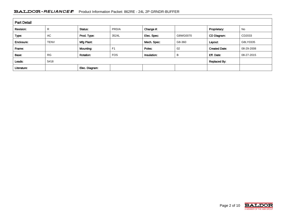### BALDOR · RELIANCE FRIMATION Packet: 862RE - 24L 2P GRNDR-BUFFER

| <b>Part Detail</b> |             |                |                |             |              |                      |            |
|--------------------|-------------|----------------|----------------|-------------|--------------|----------------------|------------|
| Revision:          | R           | Status:        | PRD/A          | Change #:   |              | Proprietary:         | No         |
| Type:              | <b>AC</b>   | Prod. Type:    | 3524L          | Elec. Spec: | G8WG0070     | CD Diagram:          | CD2033     |
| Enclosure:         | <b>TENV</b> | Mfg Plant:     |                | Mech. Spec: | G8-360       | Layout:              | G8LY0335   |
| Frame:             |             | Mounting:      | F <sub>1</sub> | Poles:      | 02           | <b>Created Date:</b> | 08-29-2008 |
| Base:              | <b>RG</b>   | Rotation:      | <b>FOS</b>     | Insulation: | B            | Eff. Date:           | 08-27-2015 |
| Leads:             | 5#18        |                |                |             | Replaced By: |                      |            |
| Literature:        |             | Elec. Diagram: |                |             |              |                      |            |

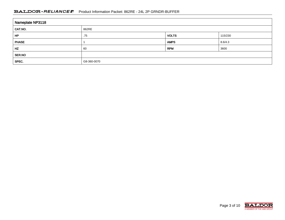#### BALDOR · RELIANCE FRIMATION Packet: 862RE - 24L 2P GRNDR-BUFFER

| Nameplate NP3118 |             |              |         |
|------------------|-------------|--------------|---------|
| CAT.NO.          | 862RE       |              |         |
| HP               | .75         | <b>VOLTS</b> | 115/230 |
| <b>PHASE</b>     |             | <b>AMPS</b>  | 8.6/4.3 |
| HZ               | 60          | <b>RPM</b>   | 3600    |
| SER.NO           |             |              |         |
| SPEC.            | G8-360-0070 |              |         |

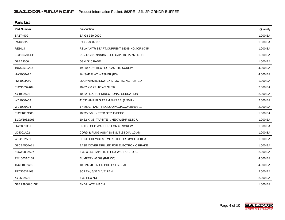| <b>Parts List</b>  |                                             |          |  |
|--------------------|---------------------------------------------|----------|--|
| <b>Part Number</b> | <b>Description</b>                          | Quantity |  |
| SA174909           | SA G8-360-0070                              | 1.000 EA |  |
| RA163029           | RA G8-360-0070                              | 1.000 EA |  |
| RE1014             | RELAY, MTR START, CURRENT SENSING, 4CR3-745 | 1.000 EA |  |
| EC1189A02SP        | 61B2D120189NNBA ELEC CAP, 189-227MFD, 12    | 1.000 EA |  |
| G8BA3000           | G8 & G10 BASE                               | 1.000 EA |  |
| 19XX2510A14        | 1/4-10 X 7/8 HEX HD PLASTITE SCREW          | 4.000 EA |  |
| HW1000A25          | 1/4 SAE FLAT WASHER (FS)                    | 4.000 EA |  |
| HW1003A50          | LOCKWASHER, 1/2", EXT. TOOTHZINC PLATED     | 1.000 EA |  |
| 51XN1032A04        | 10-32 X 0.25 HX WS SL SR                    | 2.000 EA |  |
| XY1032A02          | 10-32 HEX NUT DIRECTIONAL SERRATION         | 2.000 EA |  |
| WD1000A03          | 41531 AMP FLG.TERM,4M/REEL(2.5MIL)          | 2.000 EA |  |
| WD1000A04          | 1-480307-1AMP REC(200/PKG)ACC#081693-10-    | 2.000 EA |  |
| 51XF1032G06        | 10/32X3/8 HXSSTD SER TYPEFX                 | 1.000 EA |  |
| 11XW1032G06        | 10-32 X .38, TAPTITE II, HEX WSHR SLTD U    | 1.000 EA |  |
| HW3001B01          | BRASS CUP WASHER, FOR #8 SCREW              | 1.000 EA |  |
| LD5001A02          | CORD & PLUG ASSY 18-3 SJT .33 DIA, 10 AM    | 1.000 EA |  |
| WD4102A01          | SR-6L-1 HEYCO STRN RELIEF OR 23MPO6L10 M    | 1.000 EA |  |
| G8CB4500A11        | BASE COVER DRILLED FOR ELECTRONIC BRAKE     | 1.000 EA |  |
| 51XW0832A07        | 8-32 X .44, TAPTITE II, HEX WSHR SLTD SE    | 2.000 EA |  |
| RM1005A01SP        | BUMPER- #2089 (R-R CO)                      | 4.000 EA |  |
| 15XF1032A10        | 10-32X5/8 PIN HD PHL TY FSEE JT             | 4.000 EA |  |
| 15XN0632A08        | SCREW, 6/32 X 1/2" PAN                      | 2.000 EA |  |
| XY0632A02          | 6-32 HEX NUT                                | 2.000 EA |  |
| G8EP3900A01SP      | ENDPLATE, MACH                              | 1.000 EA |  |

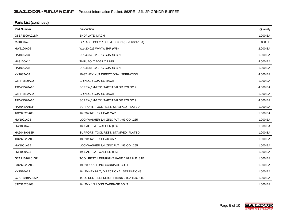| Parts List (continued) |                                          |          |  |
|------------------------|------------------------------------------|----------|--|
| <b>Part Number</b>     | Description                              | Quantity |  |
| G8EP3900A01SP          | ENDPLATE, MACH                           | 1.000 EA |  |
| MJ1000A75              | GREASE, POLYREX EM EXXON (USe 4824-15A)  | 0.050 LB |  |
| HW5100A06              | W2420-025 WVY WSHR (WB)                  | 2.000 EA |  |
| HA1000A34              | DR2463A .02 BRG GUARD B N                | 1.000 EA |  |
| HA3100A14              | THRUBOLT 10-32 X 7.875                   | 4.000 EA |  |
| HA1000A34              | DR2463A .02 BRG GUARD B N                | 1.000 EA |  |
| XY1032A02              | 10-32 HEX NUT DIRECTIONAL SERRATION      | 4.000 EA |  |
| G8FH1800A02            | <b>GRINDER GUARD, MACH</b>               | 1.000 EA |  |
| 19XW2520A16            | SCREW, 1/4-20X1 TAPTITE-II OR ROLOC 91   | 4.000 EA |  |
| G8FH1802A02            | <b>GRINDER GUARD, MACH</b>               | 1.000 EA |  |
| 19XW2520A16            | SCREW, 1/4-20X1 TAPTITE-II OR ROLOC 91   | 4.000 EA |  |
| HA6048A01SP            | SUPPORT, TOOL REST, STAMPED PLATED       | 1.000 EA |  |
| 10XN2520A08            | 1/4-20X1/2 HEX HEAD CAP                  | 1.000 EA |  |
| HW1001A25              | LOCKWASHER 1/4, ZINC PLT .493 OD, .255 I | 1.000 EA |  |
| HW1000A25              | 1/4 SAE FLAT WASHER (FS)                 | 1.000 EA |  |
| HA6048A01SP            | SUPPORT, TOOL REST, STAMPED PLATED       | 1.000 EA |  |
| 10XN2520A08            | 1/4-20X1/2 HEX HEAD CAP                  | 1.000 EA |  |
| HW1001A25              | LOCKWASHER 1/4, ZINC PLT .493 OD, .255 I | 1.000 EA |  |
| HW1000A25              | 1/4 SAE FLAT WASHER (FS)                 | 1.000 EA |  |
| G7AP1010A01SP          | TOOL REST, LEFT/RIGHT HAND 11GA H.R. STE | 1.000 EA |  |
| 83XN2520A08            | 1/4-20 X 1/2 LONG CARRIAGE BOLT          | 1.000 EA |  |
| XY2520A12              | 1/4-20 HEX NUT, DIRECTIONAL SERRATIONS   | 1.000 EA |  |
| G7AP1010A01SP          | TOOL REST, LEFT/RIGHT HAND 11GA H.R. STE | 1.000 EA |  |
| 83XN2520A08            | 1/4-20 X 1/2 LONG CARRIAGE BOLT          | 1.000 EA |  |

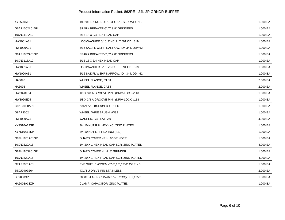| XY2520A12     | 1/4-20 HEX NUT, DIRECTIONAL SERRATIONS   | 1.000 EA |
|---------------|------------------------------------------|----------|
| G6AP1002A01SP | SPARK BREAKER-6",7" & 8" GRINDERS        | 1.000 EA |
| 10XN3118A12   | 5/16-18 X 3/4 HEX HEAD CAP               | 1.000 EA |
| HW1001A31     | LOCKWASHER 5/16, ZINC PLT.591 OD, .319 I | 1.000 EA |
|               |                                          |          |
| HW1000A31     | 5/16 SAE FL WSHR NARROW, ID=.344, OD=.62 | 1.000 EA |
| G6AP1002A01SP | SPARK BREAKER-6",7" & 8" GRINDERS        | 1.000 EA |
| 10XN3118A12   | 5/16-18 X 3/4 HEX HEAD CAP               | 1.000 EA |
| HW1001A31     | LOCKWASHER 5/16, ZINC PLT.591 OD, .319 I | 1.000 EA |
| HW1000A31     | 5/16 SAE FL WSHR NARROW, ID=.344, OD=.62 | 1.000 EA |
| HA6098        | WHEEL FLANGE, CAST                       | 2.000 EA |
| HA6098        | WHEEL FLANGE, CAST                       | 2.000 EA |
| HW3020E04     | 1/8 X 3/8 A GROOVE PIN (DRIV-LOCK #118   | 1.000 EA |
| HW3020E04     | 1/8 X 3/8 A GROOVE PIN (DRIV-LOCK #118   | 1.000 EA |
| G8AP3000A01   | A36N5V10 8X1X3/4 36GRIT X                | 1.000 EA |
| G8AP3002      | WHEEL, WIRE BRUSH #W82                   | 1.000 EA |
| HW1000A75     | WASHER, 3/4 FLAT, ZN                     | 4.000 EA |
| XY7510A12SP   | 3/4-10 NUT R.H. HEX (NC) ZINC PLATED     | 1.000 EA |
| XY7510A62SP   | 3/4-10 NUT L.H. HEX (NC) (F/S)           | 1.000 EA |
| G8FH1801A01SP | GUARD COVER - R.H. 8" GRINDER            | 1.000 EA |
| 10XN2520A16   | 1/4-20 X 1 HEX HEAD CAP SCR, ZINC PLATED | 4.000 EA |
| G8FH1803A01SP | GUARD COVER - L.H. 8" GRINDER            | 1.000 EA |
| 10XN2520A16   | 1/4-20 X 1 HEX HEAD CAP SCR, ZINC PLATED | 4.000 EA |
| G7AP5001A01   | EYE SHIELD ASSEM.-7",8",10",12"&14"GRIND | 1.000 EA |
| 85XU0407S04   | 4X1/4 U DRIVE PIN STAINLESS              | 2.000 EA |
| SP9000SP      | 80600BJ A-H OR 1520237-2 TYCO;2PST,125/2 | 1.000 EA |
| HA6003A33ZP   | CLAMP, CAPACITOR ZINC PLATED             | 1.000 EA |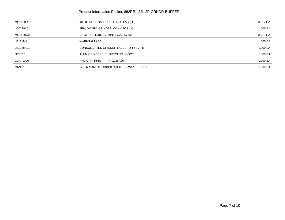| MG1000R01    | 400-0113 H/F BALDOR BIG RED LAC (5G)     | $0.017$ GA $ $     |
|--------------|------------------------------------------|--------------------|
| LC0279A01    | 1PH, DV, FIX, GRINDER, CONN FOR LV       | 1.000 EA $ $       |
| MG1500G03    | PRIMER-S4318E GEMINI 5 GA, HC9068        | $0.010$ GA $\vert$ |
| LB1119N      | <b>WARNING LABEL</b>                     | 1.000 EA $ $       |
| LB1388A01    | CONSOLIDATED GRINDER LABEL FOR 6", 7", 8 | 1.000 EA $ $       |
| NP3118       | ALUM GRINDERS-BUFFERS NO LOGO'S          | 1.000 EA $ $       |
| G0PA1000     | PKG GRP, PRINT<br>PK1026A06              | 1.000 EA $ $       |
| <b>MN907</b> | INSTR MANUAL GRINDER-BUFFER/WIRE BRUSH   | 1.000 EA $ $       |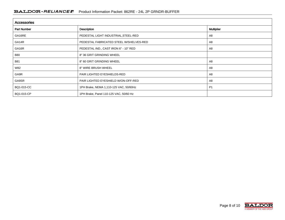| <b>Accessories</b> |                                         |                   |  |
|--------------------|-----------------------------------------|-------------------|--|
| <b>Part Number</b> | Description                             | <b>Multiplier</b> |  |
| GA16RE             | PEDESTAL LIGHT INDUSTRIAL, STEEL-RED    | A8                |  |
| GA14R              | PEDESTAL FABRICATED STEEL W/SHELVES-RED | A8                |  |
| GA16R              | PEDESTAL IND., CAST IRON 6" - 10" RED   | A8                |  |
| <b>B80</b>         | 8" 36 GRIT GRINDING WHEEL               |                   |  |
| <b>B81</b>         | 8" 60 GRIT GRINDING WHEEL               | A8                |  |
| W82                | 8" WIRE BRUSH WHEEL                     | A8                |  |
| GA9R               | PAIR LIGHTED EYESHIELDS-RED             | A8                |  |
| GA9SR              | PAIR LIGHTED EYESHIELD W/ON-OFF-RED     | A8                |  |
| BQ1-015-CC         | 1PH Brake, NEMA 1,110-125 VAC, 50/60Hz  | <b>P1</b>         |  |
| BQ1-015-CP         | 1PH Brake, Panel 110-125 VAC, 50/60 Hz  |                   |  |

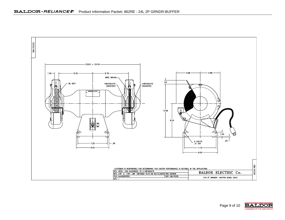